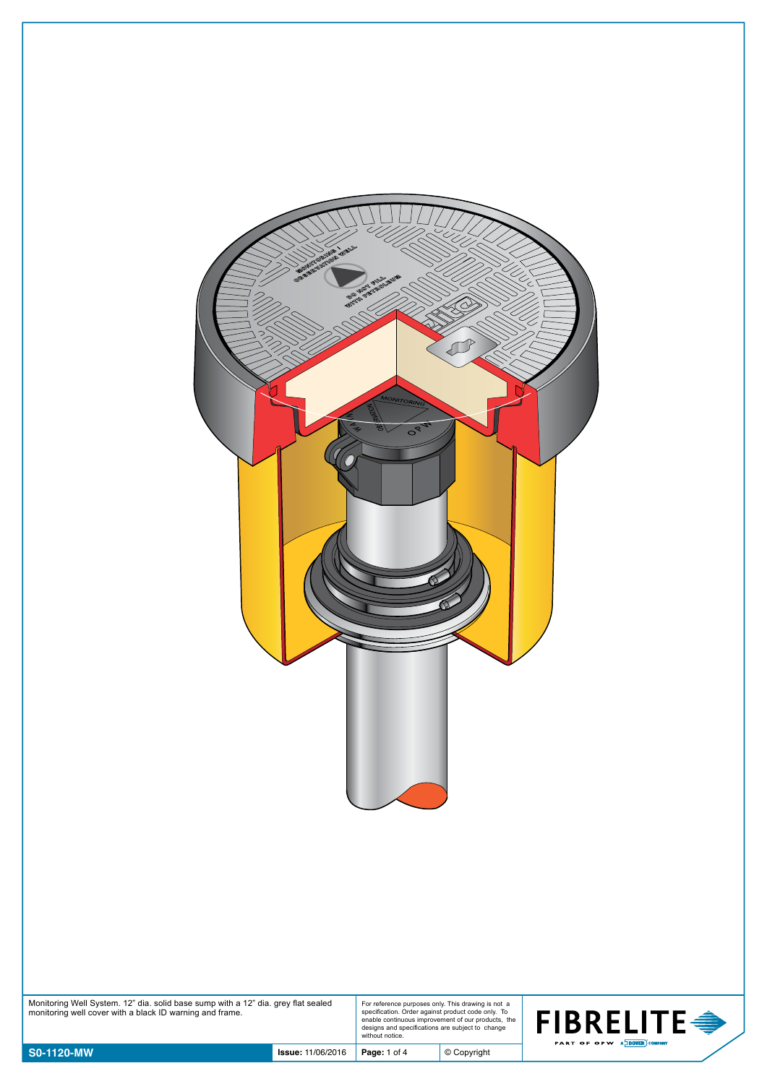| a<br>Ul<br>$\overline{\phantom{a}}$<br>$\lt$<br>$\epsilon$<br>BOOKING OFFICER AVEL<br>BIOTH OF THE OWNER<br>í<br>L<br><b>AC</b><br>Q<br>K<br>Ĉ<br>V<br>1<br>م -<br>$\sqrt{2}$<br>C<br>$\leq$<br>MONITORING<br>$O_{\mathcal{S}_{\mathcal{A}_{2}}}$<br>දි<br>C.<br>N. |
|---------------------------------------------------------------------------------------------------------------------------------------------------------------------------------------------------------------------------------------------------------------------|
|                                                                                                                                                                                                                                                                     |

Monitoring Well System. 12" dia. solid base sump with a 12" dia. grey flat sealed monitoring well cover with a black ID warning and frame.

For reference purposes only. This drawing is not a specification. Order against product code only. To enable continuous improvement of our products, the designs and specifications are subject to change without notice.

© Copyright

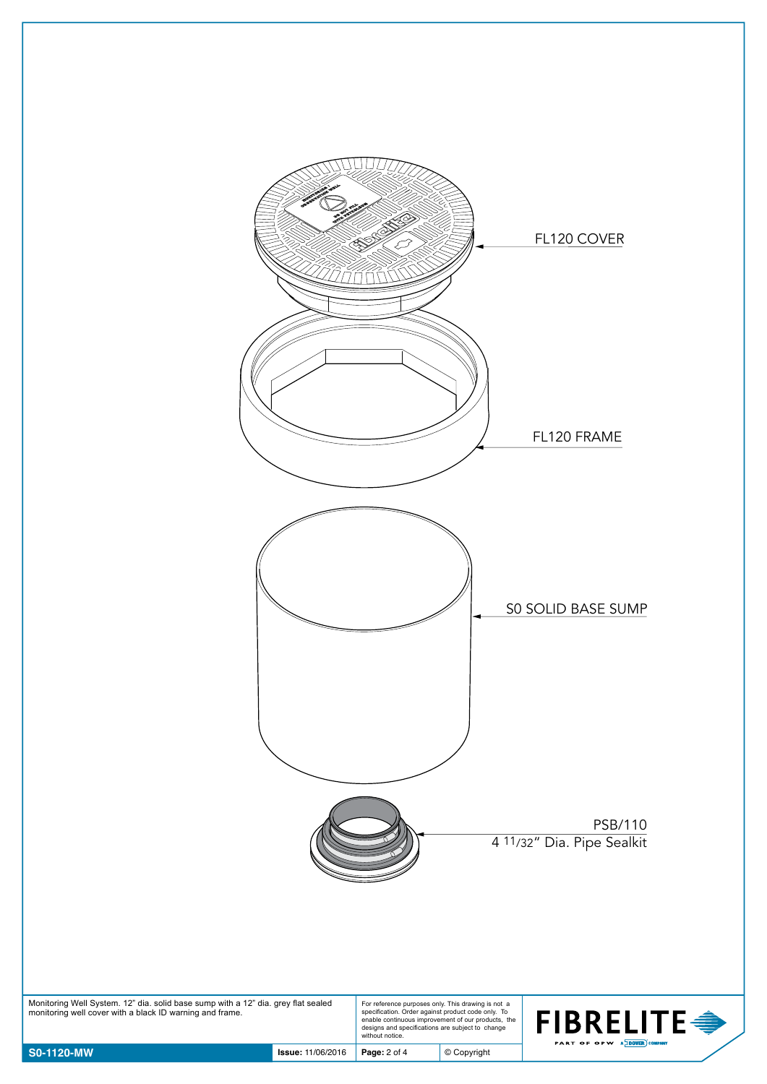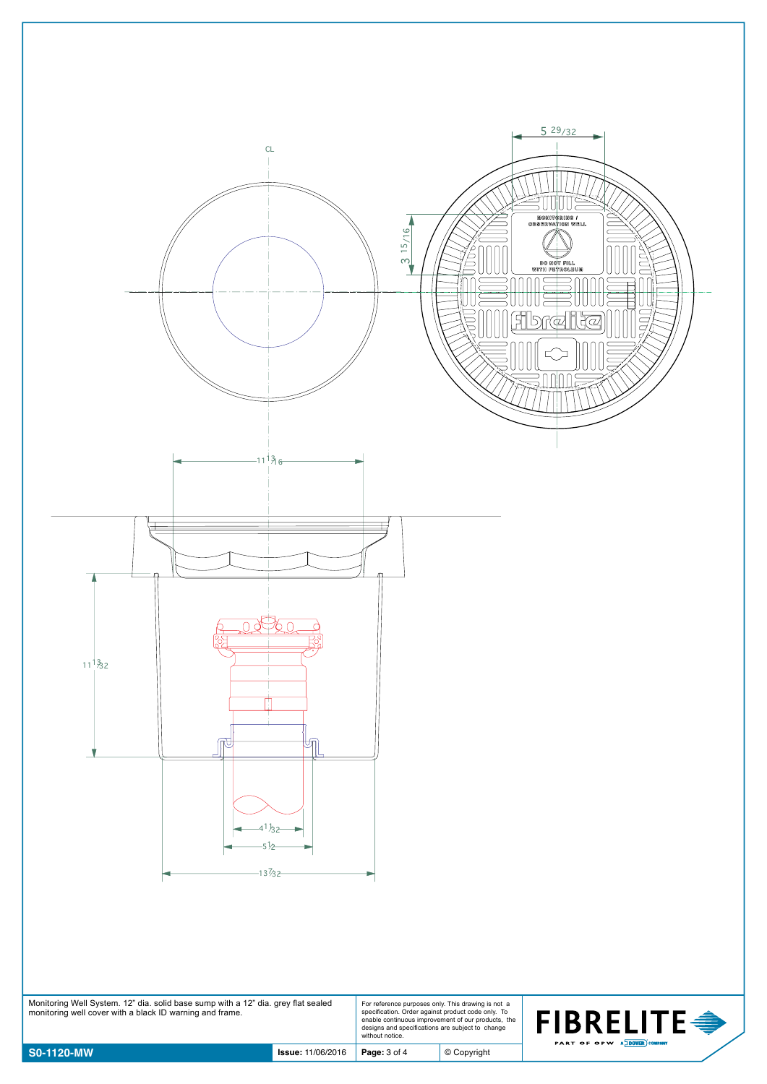